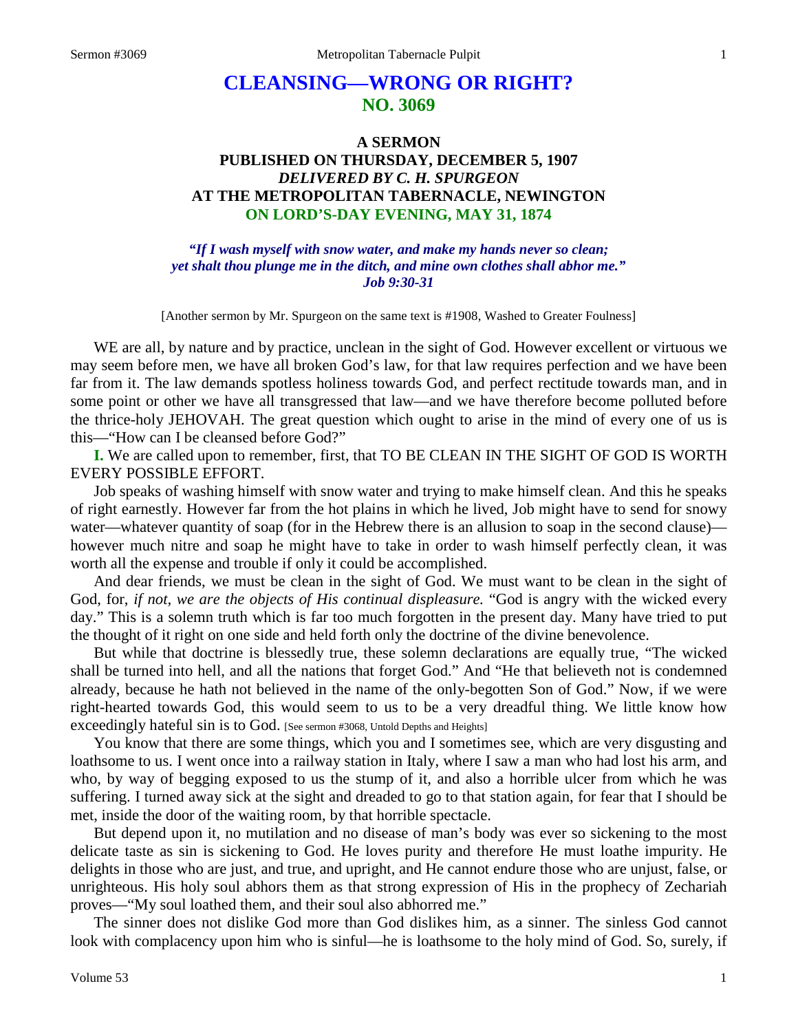# **CLEANSING—WRONG OR RIGHT? NO. 3069**

# **A SERMON PUBLISHED ON THURSDAY, DECEMBER 5, 1907** *DELIVERED BY C. H. SPURGEON* **AT THE METROPOLITAN TABERNACLE, NEWINGTON ON LORD'S-DAY EVENING, MAY 31, 1874**

*"If I wash myself with snow water, and make my hands never so clean; yet shalt thou plunge me in the ditch, and mine own clothes shall abhor me." Job 9:30-31*

[Another sermon by Mr. Spurgeon on the same text is #1908, Washed to Greater Foulness]

WE are all, by nature and by practice, unclean in the sight of God. However excellent or virtuous we may seem before men, we have all broken God's law, for that law requires perfection and we have been far from it. The law demands spotless holiness towards God, and perfect rectitude towards man, and in some point or other we have all transgressed that law—and we have therefore become polluted before the thrice-holy JEHOVAH. The great question which ought to arise in the mind of every one of us is this—"How can I be cleansed before God?"

**I.** We are called upon to remember, first, that TO BE CLEAN IN THE SIGHT OF GOD IS WORTH EVERY POSSIBLE EFFORT.

Job speaks of washing himself with snow water and trying to make himself clean. And this he speaks of right earnestly. However far from the hot plains in which he lived, Job might have to send for snowy water—whatever quantity of soap (for in the Hebrew there is an allusion to soap in the second clause) however much nitre and soap he might have to take in order to wash himself perfectly clean, it was worth all the expense and trouble if only it could be accomplished.

And dear friends, we must be clean in the sight of God. We must want to be clean in the sight of God, for, *if not, we are the objects of His continual displeasure.* "God is angry with the wicked every day." This is a solemn truth which is far too much forgotten in the present day. Many have tried to put the thought of it right on one side and held forth only the doctrine of the divine benevolence.

But while that doctrine is blessedly true, these solemn declarations are equally true, "The wicked shall be turned into hell, and all the nations that forget God." And "He that believeth not is condemned already, because he hath not believed in the name of the only-begotten Son of God." Now, if we were right-hearted towards God, this would seem to us to be a very dreadful thing. We little know how exceedingly hateful sin is to God. [See sermon #3068, Untold Depths and Heights]

You know that there are some things, which you and I sometimes see, which are very disgusting and loathsome to us. I went once into a railway station in Italy, where I saw a man who had lost his arm, and who, by way of begging exposed to us the stump of it, and also a horrible ulcer from which he was suffering. I turned away sick at the sight and dreaded to go to that station again, for fear that I should be met, inside the door of the waiting room, by that horrible spectacle.

But depend upon it, no mutilation and no disease of man's body was ever so sickening to the most delicate taste as sin is sickening to God. He loves purity and therefore He must loathe impurity. He delights in those who are just, and true, and upright, and He cannot endure those who are unjust, false, or unrighteous. His holy soul abhors them as that strong expression of His in the prophecy of Zechariah proves—"My soul loathed them, and their soul also abhorred me."

The sinner does not dislike God more than God dislikes him, as a sinner. The sinless God cannot look with complacency upon him who is sinful—he is loathsome to the holy mind of God. So, surely, if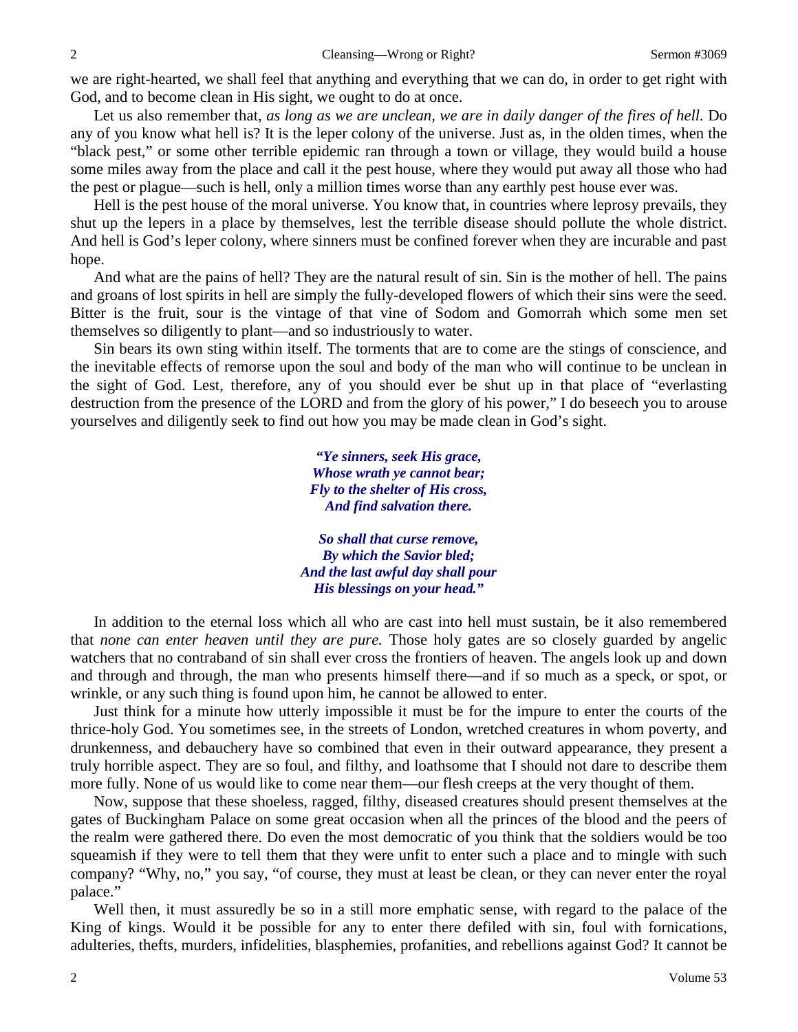we are right-hearted, we shall feel that anything and everything that we can do, in order to get right with God, and to become clean in His sight, we ought to do at once.

Let us also remember that, *as long as we are unclean, we are in daily danger of the fires of hell.* Do any of you know what hell is? It is the leper colony of the universe. Just as, in the olden times, when the "black pest," or some other terrible epidemic ran through a town or village, they would build a house some miles away from the place and call it the pest house, where they would put away all those who had the pest or plague—such is hell, only a million times worse than any earthly pest house ever was.

Hell is the pest house of the moral universe. You know that, in countries where leprosy prevails, they shut up the lepers in a place by themselves, lest the terrible disease should pollute the whole district. And hell is God's leper colony, where sinners must be confined forever when they are incurable and past hope.

And what are the pains of hell? They are the natural result of sin. Sin is the mother of hell. The pains and groans of lost spirits in hell are simply the fully-developed flowers of which their sins were the seed. Bitter is the fruit, sour is the vintage of that vine of Sodom and Gomorrah which some men set themselves so diligently to plant—and so industriously to water.

Sin bears its own sting within itself. The torments that are to come are the stings of conscience, and the inevitable effects of remorse upon the soul and body of the man who will continue to be unclean in the sight of God. Lest, therefore, any of you should ever be shut up in that place of "everlasting destruction from the presence of the LORD and from the glory of his power," I do beseech you to arouse yourselves and diligently seek to find out how you may be made clean in God's sight.

> *"Ye sinners, seek His grace, Whose wrath ye cannot bear; Fly to the shelter of His cross, And find salvation there.*

*So shall that curse remove, By which the Savior bled; And the last awful day shall pour His blessings on your head."*

In addition to the eternal loss which all who are cast into hell must sustain, be it also remembered that *none can enter heaven until they are pure.* Those holy gates are so closely guarded by angelic watchers that no contraband of sin shall ever cross the frontiers of heaven. The angels look up and down and through and through, the man who presents himself there—and if so much as a speck, or spot*,* or wrinkle*,* or any such thing is found upon him, he cannot be allowed to enter.

Just think for a minute how utterly impossible it must be for the impure to enter the courts of the thrice-holy God. You sometimes see, in the streets of London, wretched creatures in whom poverty, and drunkenness, and debauchery have so combined that even in their outward appearance, they present a truly horrible aspect. They are so foul, and filthy, and loathsome that I should not dare to describe them more fully. None of us would like to come near them—our flesh creeps at the very thought of them.

Now, suppose that these shoeless, ragged, filthy, diseased creatures should present themselves at the gates of Buckingham Palace on some great occasion when all the princes of the blood and the peers of the realm were gathered there. Do even the most democratic of you think that the soldiers would be too squeamish if they were to tell them that they were unfit to enter such a place and to mingle with such company? "Why, no," you say, "of course, they must at least be clean, or they can never enter the royal palace."

Well then, it must assuredly be so in a still more emphatic sense, with regard to the palace of the King of kings. Would it be possible for any to enter there defiled with sin, foul with fornications, adulteries, thefts, murders, infidelities, blasphemies, profanities, and rebellions against God? It cannot be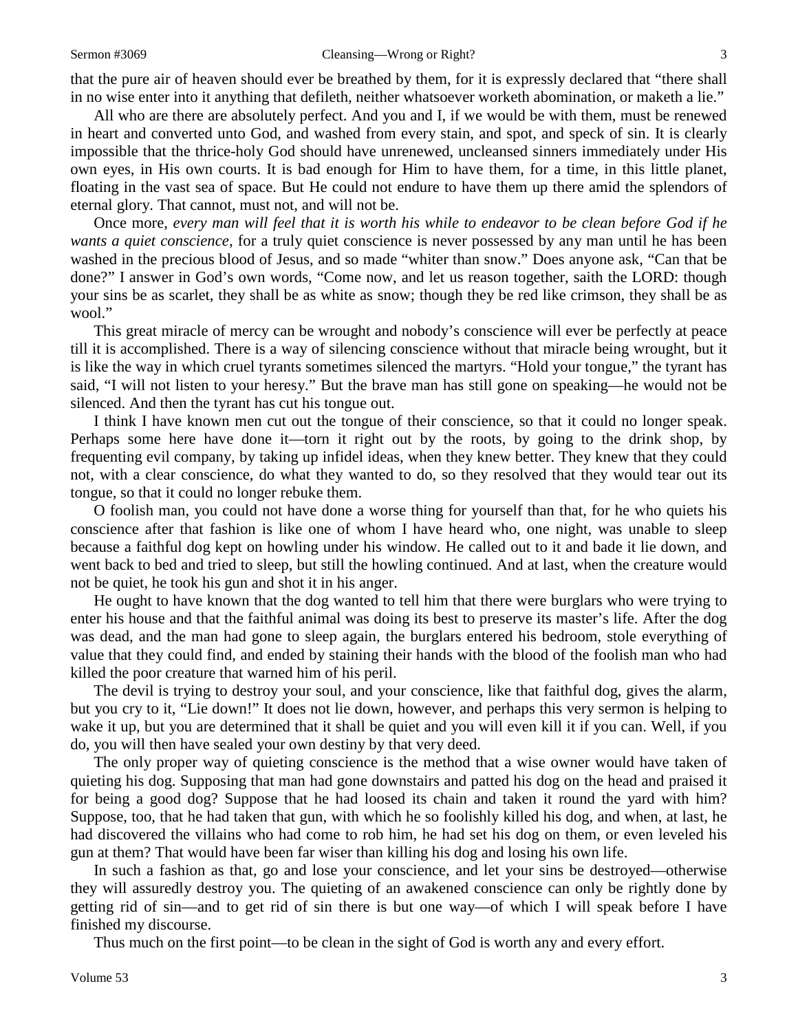that the pure air of heaven should ever be breathed by them, for it is expressly declared that "there shall in no wise enter into it anything that defileth, neither whatsoever worketh abomination, or maketh a lie."

All who are there are absolutely perfect. And you and I, if we would be with them, must be renewed in heart and converted unto God, and washed from every stain, and spot, and speck of sin. It is clearly impossible that the thrice-holy God should have unrenewed, uncleansed sinners immediately under His own eyes, in His own courts. It is bad enough for Him to have them, for a time, in this little planet, floating in the vast sea of space. But He could not endure to have them up there amid the splendors of eternal glory. That cannot, must not, and will not be.

Once more, *every man will feel that it is worth his while to endeavor to be clean before God if he wants a quiet conscience,* for a truly quiet conscience is never possessed by any man until he has been washed in the precious blood of Jesus, and so made "whiter than snow." Does anyone ask, "Can that be done?" I answer in God's own words, "Come now, and let us reason together, saith the LORD: though your sins be as scarlet, they shall be as white as snow; though they be red like crimson, they shall be as wool."

This great miracle of mercy can be wrought and nobody's conscience will ever be perfectly at peace till it is accomplished. There is a way of silencing conscience without that miracle being wrought, but it is like the way in which cruel tyrants sometimes silenced the martyrs. "Hold your tongue," the tyrant has said, "I will not listen to your heresy." But the brave man has still gone on speaking—he would not be silenced. And then the tyrant has cut his tongue out.

I think I have known men cut out the tongue of their conscience, so that it could no longer speak. Perhaps some here have done it—torn it right out by the roots, by going to the drink shop, by frequenting evil company, by taking up infidel ideas, when they knew better. They knew that they could not, with a clear conscience, do what they wanted to do, so they resolved that they would tear out its tongue, so that it could no longer rebuke them.

O foolish man, you could not have done a worse thing for yourself than that, for he who quiets his conscience after that fashion is like one of whom I have heard who, one night, was unable to sleep because a faithful dog kept on howling under his window. He called out to it and bade it lie down, and went back to bed and tried to sleep, but still the howling continued. And at last, when the creature would not be quiet, he took his gun and shot it in his anger.

He ought to have known that the dog wanted to tell him that there were burglars who were trying to enter his house and that the faithful animal was doing its best to preserve its master's life. After the dog was dead, and the man had gone to sleep again, the burglars entered his bedroom, stole everything of value that they could find, and ended by staining their hands with the blood of the foolish man who had killed the poor creature that warned him of his peril.

The devil is trying to destroy your soul, and your conscience, like that faithful dog, gives the alarm, but you cry to it, "Lie down!" It does not lie down, however, and perhaps this very sermon is helping to wake it up, but you are determined that it shall be quiet and you will even kill it if you can. Well, if you do, you will then have sealed your own destiny by that very deed.

The only proper way of quieting conscience is the method that a wise owner would have taken of quieting his dog. Supposing that man had gone downstairs and patted his dog on the head and praised it for being a good dog? Suppose that he had loosed its chain and taken it round the yard with him? Suppose, too, that he had taken that gun, with which he so foolishly killed his dog, and when, at last, he had discovered the villains who had come to rob him, he had set his dog on them, or even leveled his gun at them? That would have been far wiser than killing his dog and losing his own life.

In such a fashion as that, go and lose your conscience, and let your sins be destroyed—otherwise they will assuredly destroy you. The quieting of an awakened conscience can only be rightly done by getting rid of sin—and to get rid of sin there is but one way—of which I will speak before I have finished my discourse.

Thus much on the first point—to be clean in the sight of God is worth any and every effort.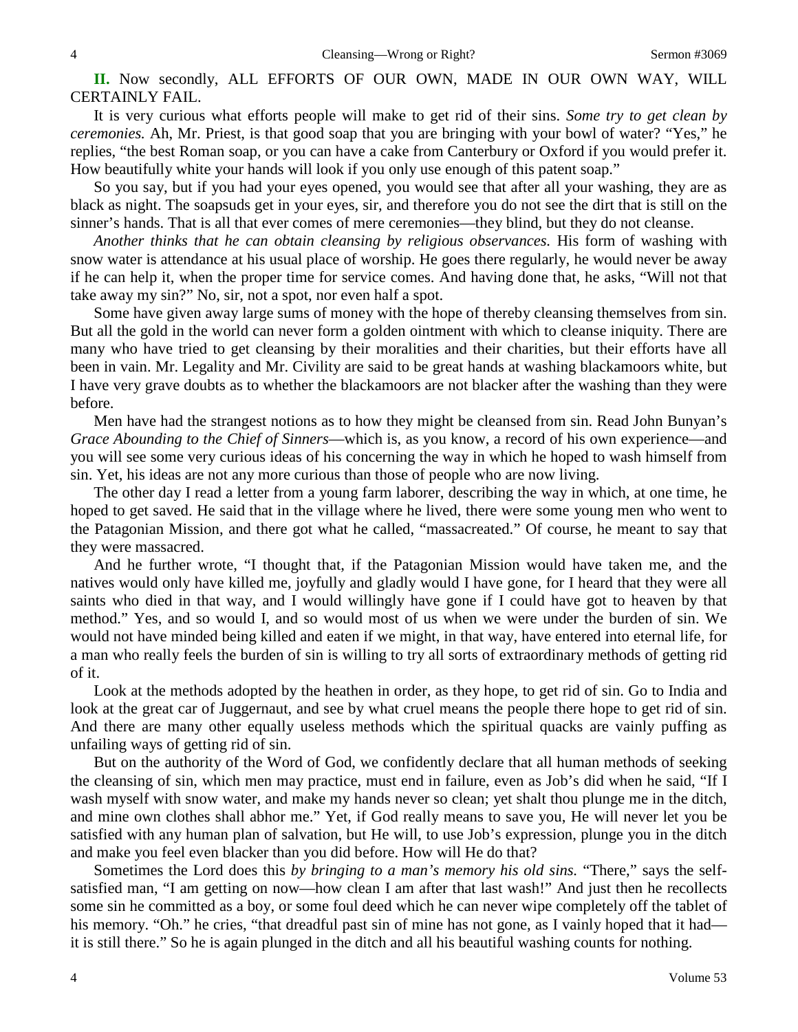**II.** Now secondly, ALL EFFORTS OF OUR OWN, MADE IN OUR OWN WAY, WILL CERTAINLY FAIL.

It is very curious what efforts people will make to get rid of their sins. *Some try to get clean by ceremonies.* Ah, Mr. Priest, is that good soap that you are bringing with your bowl of water? "Yes," he replies, "the best Roman soap, or you can have a cake from Canterbury or Oxford if you would prefer it. How beautifully white your hands will look if you only use enough of this patent soap."

So you say, but if you had your eyes opened, you would see that after all your washing, they are as black as night. The soapsuds get in your eyes, sir, and therefore you do not see the dirt that is still on the sinner's hands. That is all that ever comes of mere ceremonies—they blind, but they do not cleanse.

*Another thinks that he can obtain cleansing by religious observances.* His form of washing with snow water is attendance at his usual place of worship. He goes there regularly, he would never be away if he can help it, when the proper time for service comes. And having done that, he asks, "Will not that take away my sin?" No, sir, not a spot, nor even half a spot.

Some have given away large sums of money with the hope of thereby cleansing themselves from sin. But all the gold in the world can never form a golden ointment with which to cleanse iniquity. There are many who have tried to get cleansing by their moralities and their charities, but their efforts have all been in vain. Mr. Legality and Mr. Civility are said to be great hands at washing blackamoors white, but I have very grave doubts as to whether the blackamoors are not blacker after the washing than they were before.

Men have had the strangest notions as to how they might be cleansed from sin. Read John Bunyan's *Grace Abounding to the Chief of Sinners*—which is, as you know, a record of his own experience—and you will see some very curious ideas of his concerning the way in which he hoped to wash himself from sin. Yet, his ideas are not any more curious than those of people who are now living.

The other day I read a letter from a young farm laborer, describing the way in which, at one time, he hoped to get saved. He said that in the village where he lived, there were some young men who went to the Patagonian Mission, and there got what he called, "massacreated." Of course, he meant to say that they were massacred.

And he further wrote, "I thought that, if the Patagonian Mission would have taken me, and the natives would only have killed me, joyfully and gladly would I have gone, for I heard that they were all saints who died in that way, and I would willingly have gone if I could have got to heaven by that method." Yes, and so would I, and so would most of us when we were under the burden of sin. We would not have minded being killed and eaten if we might, in that way, have entered into eternal life*,* for a man who really feels the burden of sin is willing to try all sorts of extraordinary methods of getting rid of it.

Look at the methods adopted by the heathen in order, as they hope, to get rid of sin. Go to India and look at the great car of Juggernaut, and see by what cruel means the people there hope to get rid of sin. And there are many other equally useless methods which the spiritual quacks are vainly puffing as unfailing ways of getting rid of sin.

But on the authority of the Word of God, we confidently declare that all human methods of seeking the cleansing of sin, which men may practice, must end in failure, even as Job's did when he said, "If I wash myself with snow water, and make my hands never so clean; yet shalt thou plunge me in the ditch, and mine own clothes shall abhor me." Yet, if God really means to save you, He will never let you be satisfied with any human plan of salvation, but He will, to use Job's expression, plunge you in the ditch and make you feel even blacker than you did before. How will He do that?

Sometimes the Lord does this *by bringing to a man's memory his old sins.* "There," says the selfsatisfied man, "I am getting on now—how clean I am after that last wash!" And just then he recollects some sin he committed as a boy, or some foul deed which he can never wipe completely off the tablet of his memory. "Oh." he cries, "that dreadful past sin of mine has not gone, as I vainly hoped that it had it is still there." So he is again plunged in the ditch and all his beautiful washing counts for nothing.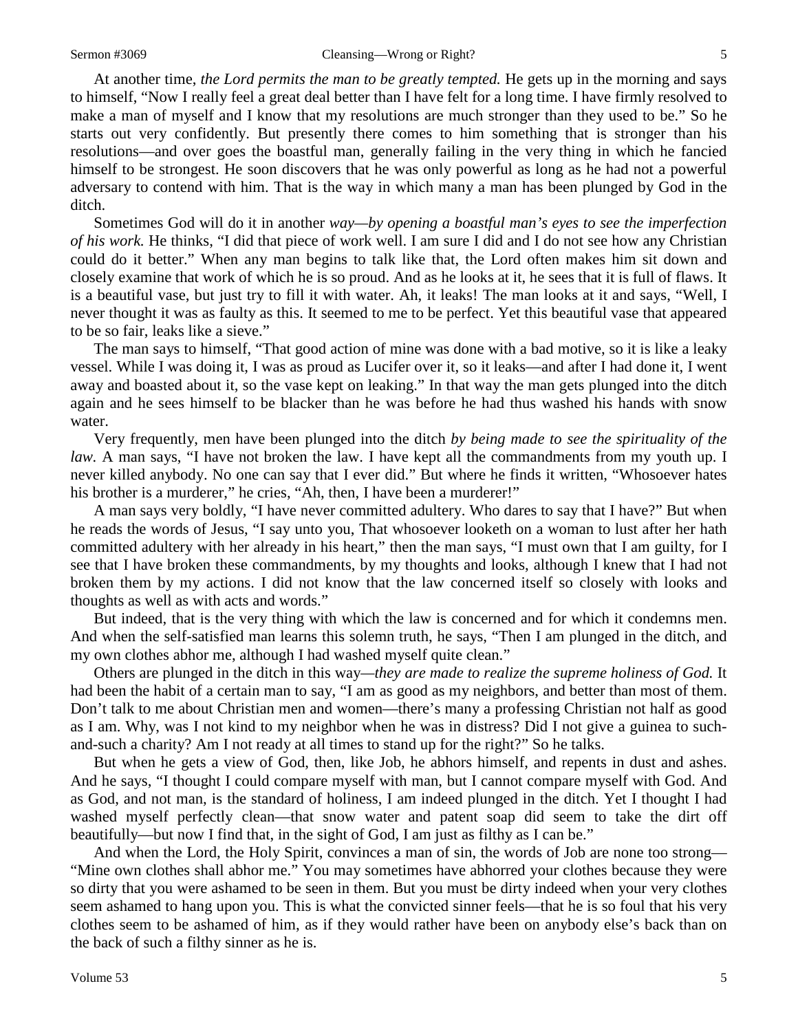At another time, *the Lord permits the man to be greatly tempted.* He gets up in the morning and says to himself, "Now I really feel a great deal better than I have felt for a long time. I have firmly resolved to make a man of myself and I know that my resolutions are much stronger than they used to be." So he starts out very confidently. But presently there comes to him something that is stronger than his resolutions—and over goes the boastful man, generally failing in the very thing in which he fancied himself to be strongest. He soon discovers that he was only powerful as long as he had not a powerful adversary to contend with him. That is the way in which many a man has been plunged by God in the ditch.

Sometimes God will do it in another *way—by opening a boastful man's eyes to see the imperfection of his work.* He thinks, "I did that piece of work well. I am sure I did and I do not see how any Christian could do it better." When any man begins to talk like that, the Lord often makes him sit down and closely examine that work of which he is so proud. And as he looks at it, he sees that it is full of flaws. It is a beautiful vase, but just try to fill it with water. Ah, it leaks! The man looks at it and says, "Well, I never thought it was as faulty as this. It seemed to me to be perfect. Yet this beautiful vase that appeared to be so fair, leaks like a sieve."

The man says to himself, "That good action of mine was done with a bad motive, so it is like a leaky vessel. While I was doing it, I was as proud as Lucifer over it, so it leaks—and after I had done it, I went away and boasted about it, so the vase kept on leaking." In that way the man gets plunged into the ditch again and he sees himself to be blacker than he was before he had thus washed his hands with snow water.

Very frequently, men have been plunged into the ditch *by being made to see the spirituality of the law.* A man says, "I have not broken the law. I have kept all the commandments from my youth up. I never killed anybody. No one can say that I ever did." But where he finds it written, "Whosoever hates his brother is a murderer," he cries, "Ah, then, I have been a murderer!"

A man says very boldly, "I have never committed adultery. Who dares to say that I have?" But when he reads the words of Jesus, "I say unto you, That whosoever looketh on a woman to lust after her hath committed adultery with her already in his heart," then the man says, "I must own that I am guilty, for I see that I have broken these commandments, by my thoughts and looks, although I knew that I had not broken them by my actions. I did not know that the law concerned itself so closely with looks and thoughts as well as with acts and words."

But indeed, that is the very thing with which the law is concerned and for which it condemns men. And when the self-satisfied man learns this solemn truth, he says, "Then I am plunged in the ditch, and my own clothes abhor me, although I had washed myself quite clean."

Others are plunged in the ditch in this way*—they are made to realize the supreme holiness of God.* It had been the habit of a certain man to say, "I am as good as my neighbors, and better than most of them. Don't talk to me about Christian men and women—there's many a professing Christian not half as good as I am. Why, was I not kind to my neighbor when he was in distress? Did I not give a guinea to suchand-such a charity? Am I not ready at all times to stand up for the right?" So he talks.

But when he gets a view of God, then, like Job, he abhors himself, and repents in dust and ashes. And he says, "I thought I could compare myself with man, but I cannot compare myself with God. And as God, and not man, is the standard of holiness, I am indeed plunged in the ditch. Yet I thought I had washed myself perfectly clean—that snow water and patent soap did seem to take the dirt off beautifully—but now I find that, in the sight of God, I am just as filthy as I can be."

And when the Lord, the Holy Spirit, convinces a man of sin, the words of Job are none too strong— "Mine own clothes shall abhor me." You may sometimes have abhorred your clothes because they were so dirty that you were ashamed to be seen in them. But you must be dirty indeed when your very clothes seem ashamed to hang upon you. This is what the convicted sinner feels—that he is so foul that his very clothes seem to be ashamed of him, as if they would rather have been on anybody else's back than on the back of such a filthy sinner as he is.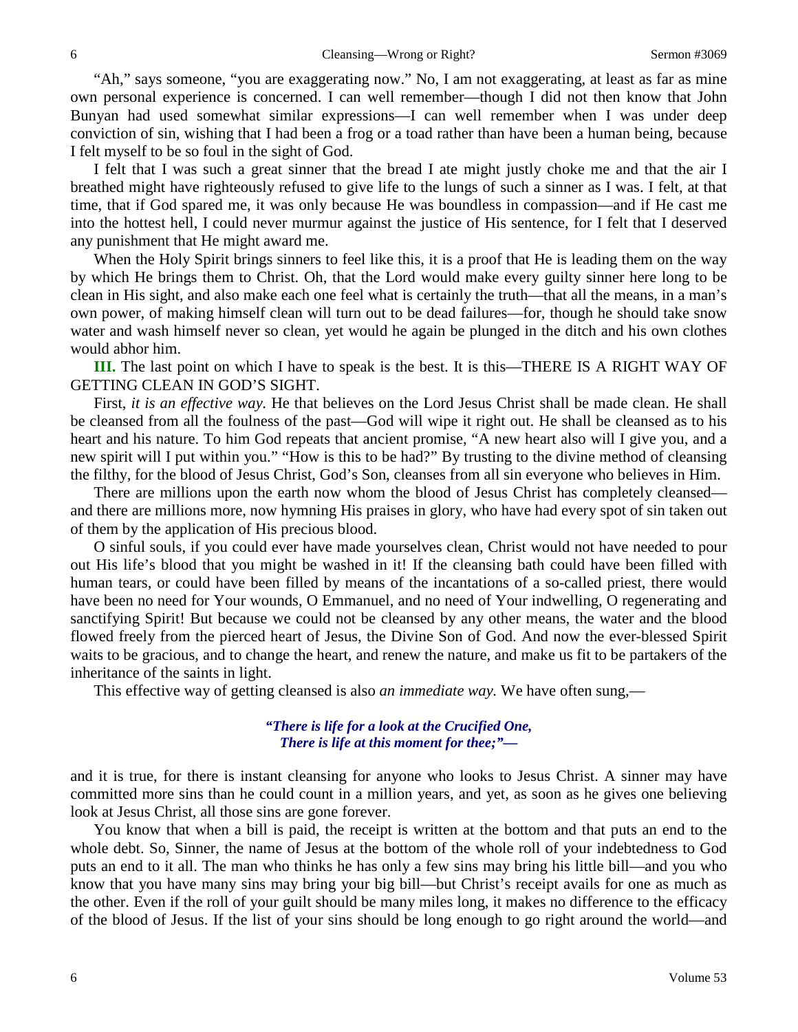"Ah," says someone, "you are exaggerating now." No, I am not exaggerating, at least as far as mine own personal experience is concerned. I can well remember—though I did not then know that John Bunyan had used somewhat similar expressions—I can well remember when I was under deep conviction of sin, wishing that I had been a frog or a toad rather than have been a human being, because I felt myself to be so foul in the sight of God.

I felt that I was such a great sinner that the bread I ate might justly choke me and that the air I breathed might have righteously refused to give life to the lungs of such a sinner as I was. I felt, at that time, that if God spared me, it was only because He was boundless in compassion—and if He cast me into the hottest hell, I could never murmur against the justice of His sentence, for I felt that I deserved any punishment that He might award me.

When the Holy Spirit brings sinners to feel like this, it is a proof that He is leading them on the way by which He brings them to Christ. Oh, that the Lord would make every guilty sinner here long to be clean in His sight, and also make each one feel what is certainly the truth—that all the means, in a man's own power, of making himself clean will turn out to be dead failures—for, though he should take snow water and wash himself never so clean, yet would he again be plunged in the ditch and his own clothes would abhor him.

**III.** The last point on which I have to speak is the best. It is this—THERE IS A RIGHT WAY OF GETTING CLEAN IN GOD'S SIGHT.

First, *it is an effective way*. He that believes on the Lord Jesus Christ shall be made clean. He shall be cleansed from all the foulness of the past—God will wipe it right out. He shall be cleansed as to his heart and his nature. To him God repeats that ancient promise, "A new heart also will I give you, and a new spirit will I put within you." "How is this to be had?" By trusting to the divine method of cleansing the filthy, for the blood of Jesus Christ, God's Son, cleanses from all sin everyone who believes in Him.

There are millions upon the earth now whom the blood of Jesus Christ has completely cleansed and there are millions more, now hymning His praises in glory, who have had every spot of sin taken out of them by the application of His precious blood.

O sinful souls, if you could ever have made yourselves clean, Christ would not have needed to pour out His life's blood that you might be washed in it! If the cleansing bath could have been filled with human tears, or could have been filled by means of the incantations of a so-called priest, there would have been no need for Your wounds, O Emmanuel, and no need of Your indwelling, O regenerating and sanctifying Spirit! But because we could not be cleansed by any other means, the water and the blood flowed freely from the pierced heart of Jesus, the Divine Son of God. And now the ever-blessed Spirit waits to be gracious, and to change the heart, and renew the nature, and make us fit to be partakers of the inheritance of the saints in light.

This effective way of getting cleansed is also *an immediate way.* We have often sung,—

### *"There is life for a look at the Crucified One, There is life at this moment for thee;"—*

and it is true, for there is instant cleansing for anyone who looks to Jesus Christ. A sinner may have committed more sins than he could count in a million years, and yet, as soon as he gives one believing look at Jesus Christ, all those sins are gone forever.

You know that when a bill is paid, the receipt is written at the bottom and that puts an end to the whole debt. So, Sinner, the name of Jesus at the bottom of the whole roll of your indebtedness to God puts an end to it all. The man who thinks he has only a few sins may bring his little bill—and you who know that you have many sins may bring your big bill—but Christ's receipt avails for one as much as the other. Even if the roll of your guilt should be many miles long, it makes no difference to the efficacy of the blood of Jesus. If the list of your sins should be long enough to go right around the world—and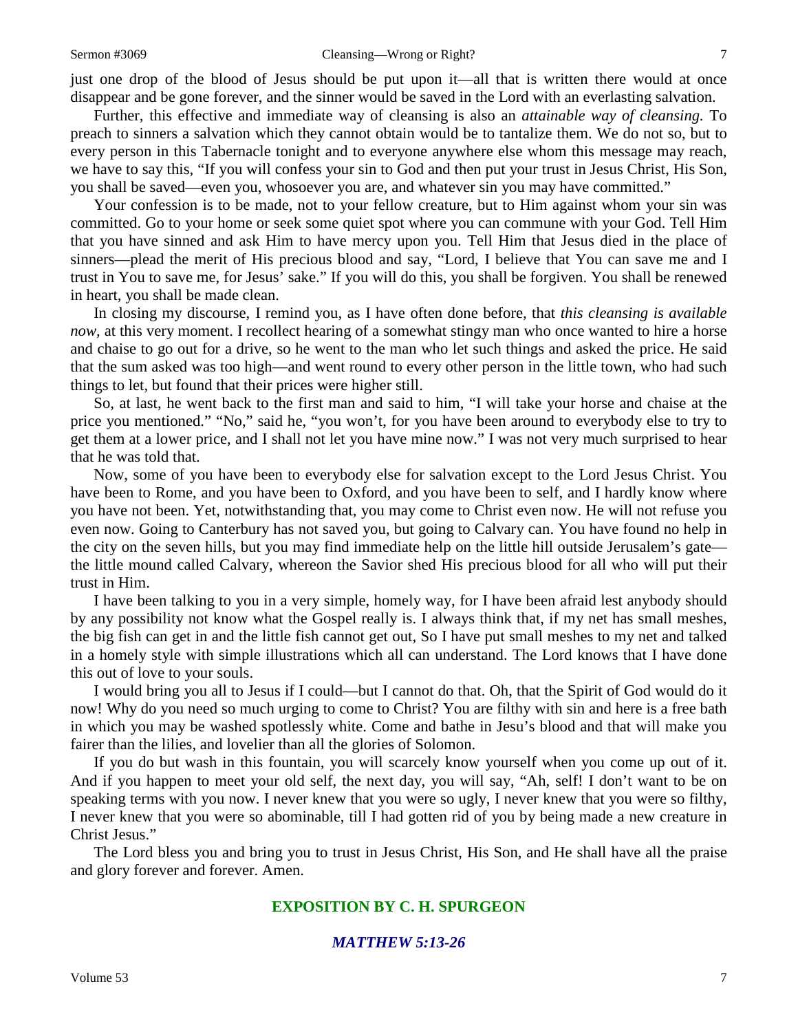just one drop of the blood of Jesus should be put upon it—all that is written there would at once disappear and be gone forever, and the sinner would be saved in the Lord with an everlasting salvation.

Further, this effective and immediate way of cleansing is also an *attainable way of cleansing.* To preach to sinners a salvation which they cannot obtain would be to tantalize them. We do not so, but to every person in this Tabernacle tonight and to everyone anywhere else whom this message may reach, we have to say this, "If you will confess your sin to God and then put your trust in Jesus Christ, His Son, you shall be saved—even you, whosoever you are, and whatever sin you may have committed."

Your confession is to be made, not to your fellow creature, but to Him against whom your sin was committed. Go to your home or seek some quiet spot where you can commune with your God. Tell Him that you have sinned and ask Him to have mercy upon you. Tell Him that Jesus died in the place of sinners—plead the merit of His precious blood and say, "Lord, I believe that You can save me and I trust in You to save me, for Jesus' sake." If you will do this, you shall be forgiven. You shall be renewed in heart, you shall be made clean.

In closing my discourse, I remind you, as I have often done before, that *this cleansing is available now*, at this very moment. I recollect hearing of a somewhat stingy man who once wanted to hire a horse and chaise to go out for a drive, so he went to the man who let such things and asked the price. He said that the sum asked was too high—and went round to every other person in the little town, who had such things to let, but found that their prices were higher still.

So, at last, he went back to the first man and said to him, "I will take your horse and chaise at the price you mentioned." "No," said he, "you won't, for you have been around to everybody else to try to get them at a lower price, and I shall not let you have mine now." I was not very much surprised to hear that he was told that.

Now, some of you have been to everybody else for salvation except to the Lord Jesus Christ. You have been to Rome, and you have been to Oxford, and you have been to self, and I hardly know where you have not been. Yet, notwithstanding that, you may come to Christ even now. He will not refuse you even now. Going to Canterbury has not saved you, but going to Calvary can. You have found no help in the city on the seven hills, but you may find immediate help on the little hill outside Jerusalem's gate the little mound called Calvary, whereon the Savior shed His precious blood for all who will put their trust in Him.

I have been talking to you in a very simple, homely way, for I have been afraid lest anybody should by any possibility not know what the Gospel really is. I always think that, if my net has small meshes, the big fish can get in and the little fish cannot get out, So I have put small meshes to my net and talked in a homely style with simple illustrations which all can understand. The Lord knows that I have done this out of love to your souls.

I would bring you all to Jesus if I could—but I cannot do that. Oh, that the Spirit of God would do it now! Why do you need so much urging to come to Christ? You are filthy with sin and here is a free bath in which you may be washed spotlessly white. Come and bathe in Jesu's blood and that will make you fairer than the lilies, and lovelier than all the glories of Solomon.

If you do but wash in this fountain, you will scarcely know yourself when you come up out of it. And if you happen to meet your old self, the next day, you will say, "Ah, self! I don't want to be on speaking terms with you now. I never knew that you were so ugly, I never knew that you were so filthy, I never knew that you were so abominable, till I had gotten rid of you by being made a new creature in Christ Jesus."

The Lord bless you and bring you to trust in Jesus Christ, His Son, and He shall have all the praise and glory forever and forever. Amen.

## **EXPOSITION BY C. H. SPURGEON**

#### *MATTHEW 5:13-26*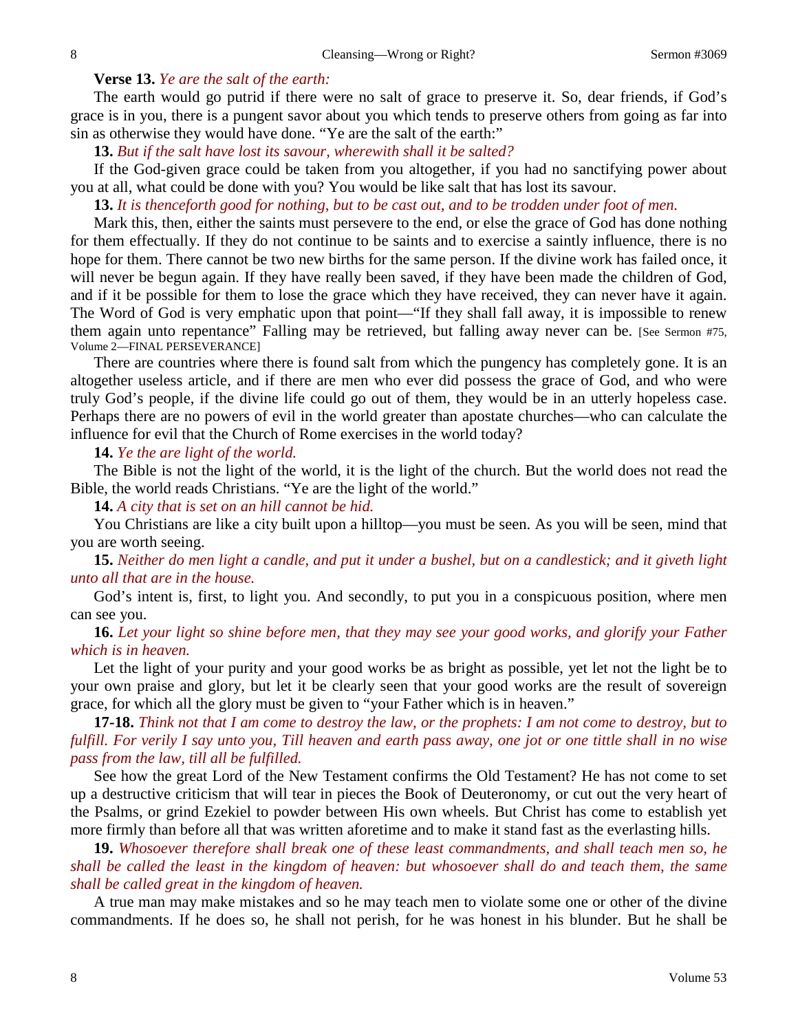#### **Verse 13.** *Ye are the salt of the earth:*

The earth would go putrid if there were no salt of grace to preserve it. So, dear friends, if God's grace is in you, there is a pungent savor about you which tends to preserve others from going as far into sin as otherwise they would have done. "Ye are the salt of the earth:"

**13.** *But if the salt have lost its savour, wherewith shall it be salted?*

If the God-given grace could be taken from you altogether, if you had no sanctifying power about you at all, what could be done with you? You would be like salt that has lost its savour.

**13.** *It is thenceforth good for nothing, but to be cast out, and to be trodden under foot of men.*

Mark this, then, either the saints must persevere to the end, or else the grace of God has done nothing for them effectually. If they do not continue to be saints and to exercise a saintly influence, there is no hope for them. There cannot be two new births for the same person. If the divine work has failed once, it will never be begun again. If they have really been saved, if they have been made the children of God, and if it be possible for them to lose the grace which they have received, they can never have it again. The Word of God is very emphatic upon that point—"If they shall fall away, it is impossible to renew them again unto repentance" Falling may be retrieved, but falling away never can be. [See Sermon #75, Volume 2—FINAL PERSEVERANCE]

There are countries where there is found salt from which the pungency has completely gone. It is an altogether useless article, and if there are men who ever did possess the grace of God*,* and who were truly God's people, if the divine life could go out of them, they would be in an utterly hopeless case. Perhaps there are no powers of evil in the world greater than apostate churches—who can calculate the influence for evil that the Church of Rome exercises in the world today?

**14.** *Ye the are light of the world.*

The Bible is not the light of the world, it is the light of the church. But the world does not read the Bible, the world reads Christians. "Ye are the light of the world."

**14.** *A city that is set on an hill cannot be hid.*

You Christians are like a city built upon a hilltop—you must be seen. As you will be seen, mind that you are worth seeing.

**15.** *Neither do men light a candle, and put it under a bushel, but on a candlestick; and it giveth light unto all that are in the house.*

God's intent is, first, to light you. And secondly, to put you in a conspicuous position, where men can see you.

**16.** *Let your light so shine before men, that they may see your good works, and glorify your Father which is in heaven.*

Let the light of your purity and your good works be as bright as possible, yet let not the light be to your own praise and glory, but let it be clearly seen that your good works are the result of sovereign grace, for which all the glory must be given to "your Father which is in heaven."

**17-18.** *Think not that I am come to destroy the law, or the prophets: I am not come to destroy, but to fulfill. For verily I say unto you, Till heaven and earth pass away, one jot or one tittle shall in no wise pass from the law, till all be fulfilled.*

See how the great Lord of the New Testament confirms the Old Testament? He has not come to set up a destructive criticism that will tear in pieces the Book of Deuteronomy, or cut out the very heart of the Psalms, or grind Ezekiel to powder between His own wheels. But Christ has come to establish yet more firmly than before all that was written aforetime and to make it stand fast as the everlasting hills.

**19.** *Whosoever therefore shall break one of these least commandments, and shall teach men so, he shall be called the least in the kingdom of heaven: but whosoever shall do and teach them, the same shall be called great in the kingdom of heaven.*

A true man may make mistakes and so he may teach men to violate some one or other of the divine commandments. If he does so, he shall not perish, for he was honest in his blunder. But he shall be